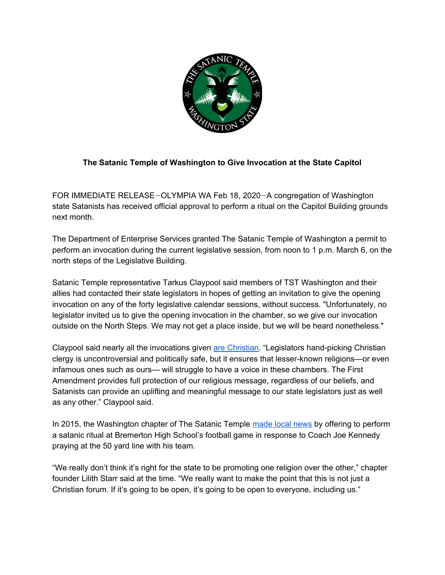

## **The Satanic Temple of Washington to Give Invocation at the State Capitol**

FOR IMMEDIATE RELEASE—OLYMPIA WA Feb 18, 2020—A congregation of Washington state Satanists has received official approval to perform a ritual on the Capitol Building grounds next month.

The Department of Enterprise Services granted The Satanic Temple of Washington a permit to perform an invocation during the current legislative session, from noon to 1 p.m. March 6, on the north steps of the Legislative Building.

Satanic Temple representative Tarkus Claypool said members of TST Washington and their allies had contacted their state legislators in hopes of getting an invitation to give the opening invocation on any of the forty legislative calendar sessions, without success. "Unfortunately, no legislator invited us to give the opening invocation in the chamber, so we give our invocation outside on the North Steps. We may not get a place inside, but we will be heard nonetheless."

Claypool said nearly all the invocations given are [Christian](https://www.tvw.org/watch/?clientID=9375922947&eventID=2020011033&startStreamAt=691&autoStartStream=true). "Legislators hand-picking Christian clergy is uncontroversial and politically safe, but it ensures that lesser-known religions—or even infamous ones such as ours— will struggle to have a voice in these chambers. The First Amendment provides full protection of our religious message, regardless of our beliefs, and Satanists can provide an uplifting and meaningful message to our state legislators just as well as any other." Claypool said.

In 2015, the Washington chapter of The Satanic Temple [made](https://www.seattletimes.com/seattle-news/education/jesus-chants-jeers-greet-satanists-during-bremerton-football-game/) local news by offering to perform a satanic ritual at Bremerton High School's football game in response to Coach Joe Kennedy praying at the 50 yard line with his team.

"We really don't think it's right for the state to be promoting one religion over the other," chapter founder Lilith Starr said at the time. "We really want to make the point that this is not just a Christian forum. If it's going to be open, it's going to be open to everyone, including us."